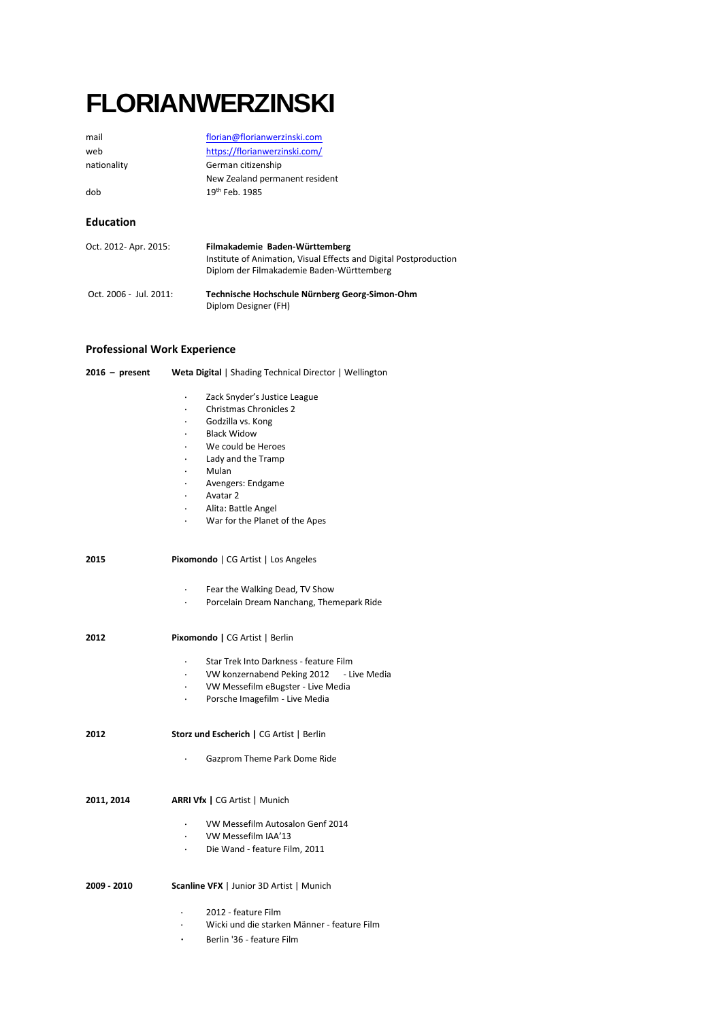# **FLORIANWERZINSKI**

| mail                   | florian@florianwerzinski.com                                                                                                                     |
|------------------------|--------------------------------------------------------------------------------------------------------------------------------------------------|
| web                    | https://florianwerzinski.com/                                                                                                                    |
| nationality            | German citizenship                                                                                                                               |
|                        | New Zealand permanent resident                                                                                                                   |
| dob                    | 19th Feb. 1985                                                                                                                                   |
|                        |                                                                                                                                                  |
| <b>Education</b>       |                                                                                                                                                  |
| Oct. 2012- Apr. 2015:  | Filmakademie Baden-Württemberg<br>Institute of Animation, Visual Effects and Digital Postproduction<br>Diplom der Filmakademie Baden-Württemberg |
| Oct. 2006 - Jul. 2011: | Technische Hochschule Nürnberg Georg-Simon-Ohm<br>Diplom Designer (FH)                                                                           |

# **Professional Work Experience**

| $2016 - present$ | Weta Digital   Shading Technical Director   Wellington                                                                                                                                                                                                             |
|------------------|--------------------------------------------------------------------------------------------------------------------------------------------------------------------------------------------------------------------------------------------------------------------|
|                  | Zack Snyder's Justice League<br><b>Christmas Chronicles 2</b><br>Godzilla vs. Kong<br><b>Black Widow</b><br>We could be Heroes<br>Lady and the Tramp<br>$\cdot$<br>Mulan<br>Avengers: Endgame<br>Avatar 2<br>Alita: Battle Angel<br>War for the Planet of the Apes |
| 2015             | <b>Pixomondo</b>   CG Artist   Los Angeles                                                                                                                                                                                                                         |
|                  | Fear the Walking Dead, TV Show<br>Porcelain Dream Nanchang, Themepark Ride                                                                                                                                                                                         |
| 2012             | Pixomondo   CG Artist   Berlin                                                                                                                                                                                                                                     |
|                  | Star Trek Into Darkness - feature Film<br>VW konzernabend Peking 2012 - Live Media<br>VW Messefilm eBugster - Live Media<br>$\ddot{\phantom{0}}$<br>Porsche Imagefilm - Live Media                                                                                 |
| 2012             | Storz und Escherich   CG Artist   Berlin                                                                                                                                                                                                                           |
|                  | Gazprom Theme Park Dome Ride                                                                                                                                                                                                                                       |
| 2011, 2014       | <b>ARRI Vfx</b>   CG Artist   Munich                                                                                                                                                                                                                               |
|                  | VW Messefilm Autosalon Genf 2014<br>VW Messefilm IAA'13<br>Die Wand - feature Film, 2011                                                                                                                                                                           |
| 2009 - 2010      | <b>Scanline VFX</b>   Junior 3D Artist   Munich                                                                                                                                                                                                                    |
|                  | 2012 - feature Film<br>Wicki und die starken Männer - feature Film<br>Berlin '36 - feature Film                                                                                                                                                                    |